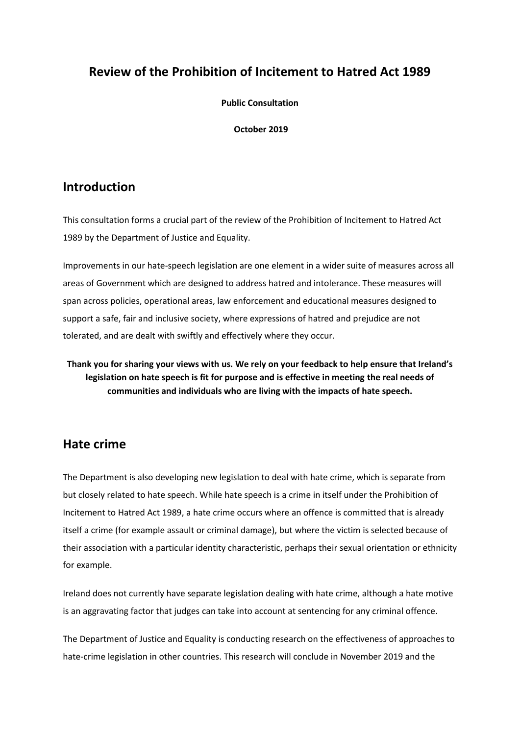# **Review of the Prohibition of Incitement to Hatred Act 1989**

**Public Consultation** 

**October 2019**

# **Introduction**

This consultation forms a crucial part of the review of the Prohibition of Incitement to Hatred Act 1989 by the Department of Justice and Equality.

Improvements in our hate-speech legislation are one element in a wider suite of measures across all areas of Government which are designed to address hatred and intolerance. These measures will span across policies, operational areas, law enforcement and educational measures designed to support a safe, fair and inclusive society, where expressions of hatred and prejudice are not tolerated, and are dealt with swiftly and effectively where they occur.

**Thank you for sharing your views with us. We rely on your feedback to help ensure that Ireland's legislation on hate speech is fit for purpose and is effective in meeting the real needs of communities and individuals who are living with the impacts of hate speech.**

# **Hate crime**

The Department is also developing new legislation to deal with hate crime, which is separate from but closely related to hate speech. While hate speech is a crime in itself under the Prohibition of Incitement to Hatred Act 1989, a hate crime occurs where an offence is committed that is already itself a crime (for example assault or criminal damage), but where the victim is selected because of their association with a particular identity characteristic, perhaps their sexual orientation or ethnicity for example.

Ireland does not currently have separate legislation dealing with hate crime, although a hate motive is an aggravating factor that judges can take into account at sentencing for any criminal offence.

The Department of Justice and Equality is conducting research on the effectiveness of approaches to hate-crime legislation in other countries. This research will conclude in November 2019 and the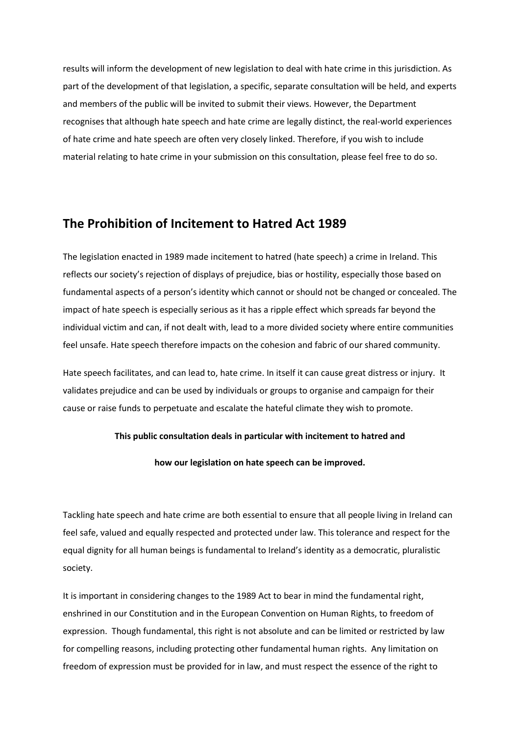results will inform the development of new legislation to deal with hate crime in this jurisdiction. As part of the development of that legislation, a specific, separate consultation will be held, and experts and members of the public will be invited to submit their views. However, the Department recognises that although hate speech and hate crime are legally distinct, the real-world experiences of hate crime and hate speech are often very closely linked. Therefore, if you wish to include material relating to hate crime in your submission on this consultation, please feel free to do so.

## **The Prohibition of Incitement to Hatred Act 1989**

The legislation enacted in 1989 made incitement to hatred (hate speech) a crime in Ireland. This reflects our society's rejection of displays of prejudice, bias or hostility, especially those based on fundamental aspects of a person's identity which cannot or should not be changed or concealed. The impact of hate speech is especially serious as it has a ripple effect which spreads far beyond the individual victim and can, if not dealt with, lead to a more divided society where entire communities feel unsafe. Hate speech therefore impacts on the cohesion and fabric of our shared community.

Hate speech facilitates, and can lead to, hate crime. In itself it can cause great distress or injury. It validates prejudice and can be used by individuals or groups to organise and campaign for their cause or raise funds to perpetuate and escalate the hateful climate they wish to promote.

#### **This public consultation deals in particular with incitement to hatred and**

#### **how our legislation on hate speech can be improved.**

Tackling hate speech and hate crime are both essential to ensure that all people living in Ireland can feel safe, valued and equally respected and protected under law. This tolerance and respect for the equal dignity for all human beings is fundamental to Ireland's identity as a democratic, pluralistic society.

It is important in considering changes to the 1989 Act to bear in mind the fundamental right, enshrined in our Constitution and in the European Convention on Human Rights, to freedom of expression. Though fundamental, this right is not absolute and can be limited or restricted by law for compelling reasons, including protecting other fundamental human rights. Any limitation on freedom of expression must be provided for in law, and must respect the essence of the right to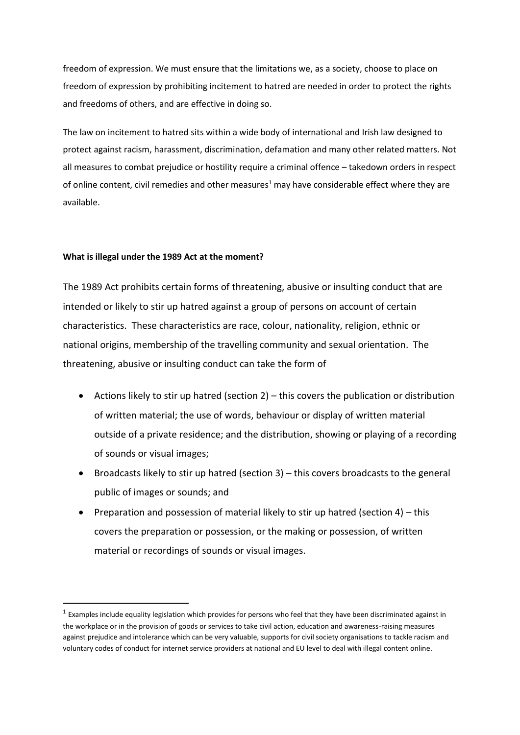freedom of expression. We must ensure that the limitations we, as a society, choose to place on freedom of expression by prohibiting incitement to hatred are needed in order to protect the rights and freedoms of others, and are effective in doing so.

The law on incitement to hatred sits within a wide body of international and Irish law designed to protect against racism, harassment, discrimination, defamation and many other related matters. Not all measures to combat prejudice or hostility require a criminal offence – takedown orders in respect of online content, civil remedies and other measures<sup>1</sup> may have considerable effect where they are available.

## **What is illegal under the 1989 Act at the moment?**

1

The 1989 Act prohibits certain forms of threatening, abusive or insulting conduct that are intended or likely to stir up hatred against a group of persons on account of certain characteristics. These characteristics are race, colour, nationality, religion, ethnic or national origins, membership of the travelling community and sexual orientation. The threatening, abusive or insulting conduct can take the form of

- Actions likely to stir up hatred (section 2) this covers the publication or distribution of written material; the use of words, behaviour or display of written material outside of a private residence; and the distribution, showing or playing of a recording of sounds or visual images;
- $\bullet$  Broadcasts likely to stir up hatred (section 3) this covers broadcasts to the general public of images or sounds; and
- Preparation and possession of material likely to stir up hatred (section 4) this covers the preparation or possession, or the making or possession, of written material or recordings of sounds or visual images.

 $<sup>1</sup>$  Examples include equality legislation which provides for persons who feel that they have been discriminated against in</sup> the workplace or in the provision of goods or services to take civil action, education and awareness-raising measures against prejudice and intolerance which can be very valuable, supports for civil society organisations to tackle racism and voluntary codes of conduct for internet service providers at national and EU level to deal with illegal content online.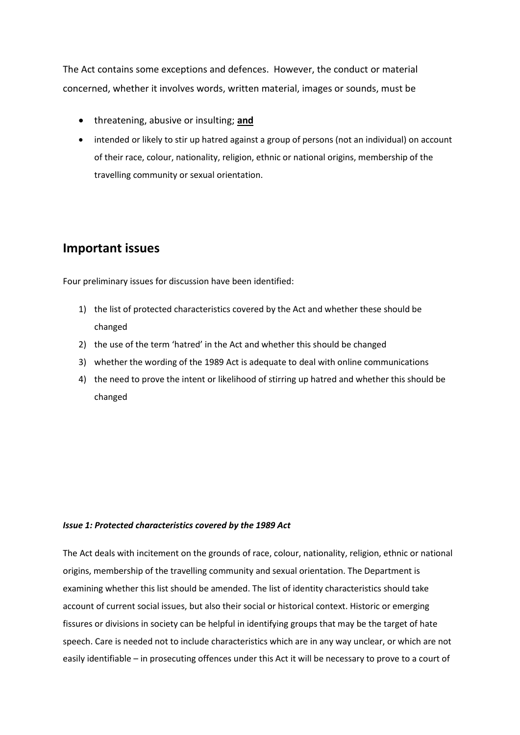The Act contains some exceptions and defences. However, the conduct or material concerned, whether it involves words, written material, images or sounds, must be

- threatening, abusive or insulting; **and**
- intended or likely to stir up hatred against a group of persons (not an individual) on account of their race, colour, nationality, religion, ethnic or national origins, membership of the travelling community or sexual orientation.

## **Important issues**

Four preliminary issues for discussion have been identified:

- 1) the list of protected characteristics covered by the Act and whether these should be changed
- 2) the use of the term 'hatred' in the Act and whether this should be changed
- 3) whether the wording of the 1989 Act is adequate to deal with online communications
- 4) the need to prove the intent or likelihood of stirring up hatred and whether this should be changed

## *Issue 1: Protected characteristics covered by the 1989 Act*

The Act deals with incitement on the grounds of race, colour, nationality, religion, ethnic or national origins, membership of the travelling community and sexual orientation. The Department is examining whether this list should be amended. The list of identity characteristics should take account of current social issues, but also their social or historical context. Historic or emerging fissures or divisions in society can be helpful in identifying groups that may be the target of hate speech. Care is needed not to include characteristics which are in any way unclear, or which are not easily identifiable – in prosecuting offences under this Act it will be necessary to prove to a court of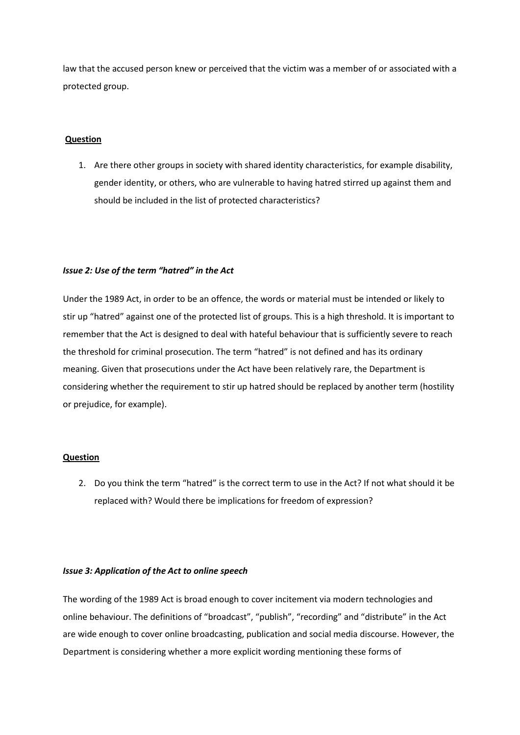law that the accused person knew or perceived that the victim was a member of or associated with a protected group.

## **Question**

1. Are there other groups in society with shared identity characteristics, for example disability, gender identity, or others, who are vulnerable to having hatred stirred up against them and should be included in the list of protected characteristics?

## *Issue 2: Use of the term "hatred" in the Act*

Under the 1989 Act, in order to be an offence, the words or material must be intended or likely to stir up "hatred" against one of the protected list of groups. This is a high threshold. It is important to remember that the Act is designed to deal with hateful behaviour that is sufficiently severe to reach the threshold for criminal prosecution. The term "hatred" is not defined and has its ordinary meaning. Given that prosecutions under the Act have been relatively rare, the Department is considering whether the requirement to stir up hatred should be replaced by another term (hostility or prejudice, for example).

#### **Question**

2. Do you think the term "hatred" is the correct term to use in the Act? If not what should it be replaced with? Would there be implications for freedom of expression?

#### *Issue 3: Application of the Act to online speech*

The wording of the 1989 Act is broad enough to cover incitement via modern technologies and online behaviour. The definitions of "broadcast", "publish", "recording" and "distribute" in the Act are wide enough to cover online broadcasting, publication and social media discourse. However, the Department is considering whether a more explicit wording mentioning these forms of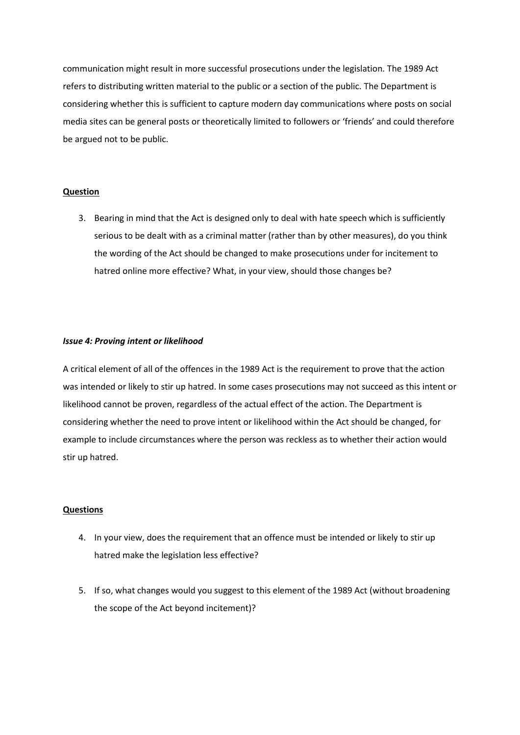communication might result in more successful prosecutions under the legislation. The 1989 Act refers to distributing written material to the public or a section of the public. The Department is considering whether this is sufficient to capture modern day communications where posts on social media sites can be general posts or theoretically limited to followers or 'friends' and could therefore be argued not to be public.

## **Question**

3. Bearing in mind that the Act is designed only to deal with hate speech which is sufficiently serious to be dealt with as a criminal matter (rather than by other measures), do you think the wording of the Act should be changed to make prosecutions under for incitement to hatred online more effective? What, in your view, should those changes be?

## *Issue 4: Proving intent or likelihood*

A critical element of all of the offences in the 1989 Act is the requirement to prove that the action was intended or likely to stir up hatred. In some cases prosecutions may not succeed as this intent or likelihood cannot be proven, regardless of the actual effect of the action. The Department is considering whether the need to prove intent or likelihood within the Act should be changed, for example to include circumstances where the person was reckless as to whether their action would stir up hatred.

## **Questions**

- 4. In your view, does the requirement that an offence must be intended or likely to stir up hatred make the legislation less effective?
- 5. If so, what changes would you suggest to this element of the 1989 Act (without broadening the scope of the Act beyond incitement)?